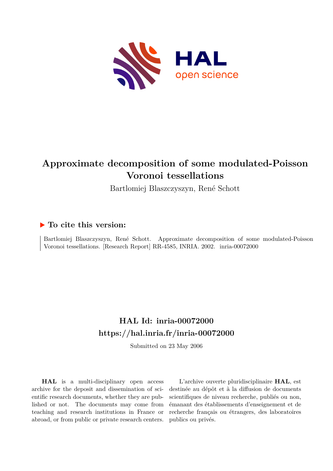

## **Approximate decomposition of some modulated-Poisson Voronoi tessellations**

Bartlomiej Blaszczyszyn, René Schott

### **To cite this version:**

Bartlomiej Blaszczyszyn, René Schott. Approximate decomposition of some modulated-Poisson Voronoi tessellations. [Research Report] RR-4585, INRIA. 2002. inria-00072000

## **HAL Id: inria-00072000 <https://hal.inria.fr/inria-00072000>**

Submitted on 23 May 2006

**HAL** is a multi-disciplinary open access archive for the deposit and dissemination of scientific research documents, whether they are published or not. The documents may come from teaching and research institutions in France or abroad, or from public or private research centers.

L'archive ouverte pluridisciplinaire **HAL**, est destinée au dépôt et à la diffusion de documents scientifiques de niveau recherche, publiés ou non, émanant des établissements d'enseignement et de recherche français ou étrangers, des laboratoires publics ou privés.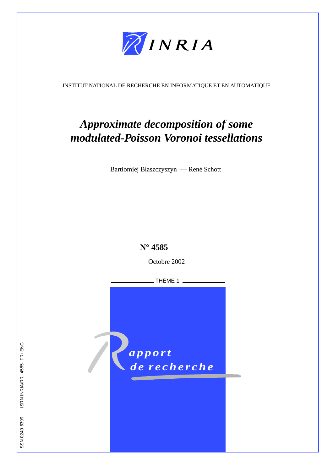

INSTITUT NATIONAL DE RECHERCHE EN INFORMATIQUE ET EN AUTOMATIQUE

# *Approximate decomposition of some modulated-Poisson Voronoi tessellations*

Bartłomiej Błaszczyszyn — René Schott



ISSN 0249-6399 ISRN INRIA/RR--4585--FR+ENG ISSN 0249-6399 ISRN INRIA/RR--4585--FR+ENG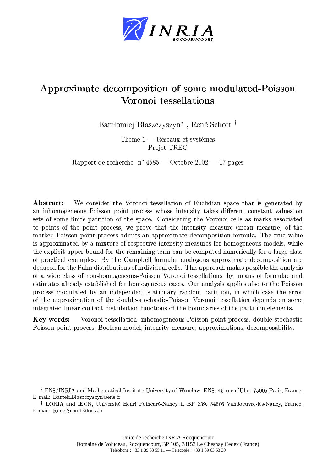

## $\blacksquare$  . The set of the set of the set of the set of the set of the set of the set of the set of the set of the set of the set of the set of the set of the set of the set of the set of the set of the set of the set of the +),) - ./#0#\*1 0

Bartłomiej Błaszczyszyn<sup>\*</sup>, René Schott<sup>†</sup>

Thème  $1$  — Réseaux et systèmes Projet TREC

Rapport de recherche  $n^*$  4585 — Octobre 2002 — 17 pages

Abstract: We consider the Voronoi tessellation of Euclidian space that is generated by an inhomogeneous Poisson point process whose intensity takes different constant values on sets of some finite partition of the space. Considering the Voronoi cells as marks associated to points of the point process, we prove that the intensity measure (mean measure) of the marked Poisson point process admits an approximate decomposition formula. The true value is approximated by a mixture of respective intensity measures for homogeneous models, while the explicit upper bound for the remaining term can be computed numerically for a large class of practical examples. By the Campbell formula, analogous approximate decomposition are deduced for the Palm distributions of individual cells. This approach makes possible the analysis of a wide class of non-homogeneous-Poisson Voronoi tessellations, by means of formulae and estimates already established for homogeneous cases. Our analysis applies also to the Poisson process modulated by an independent stationary random partition, in which case the error of the approximation of the double-stochastic-Poisson Voronoi tessellation depends on some integrated linear contact distribution functions of the boundaries of the partition elements.

**Key-words:** Voronoi tessellation, inhomogeneous Poisson point process, double stochastic Poisson point process, Boolean model, intensity measure, approximations, decomposability.

Åvõesi (1920) (1920) (1920) (1920) (1920) (1920) (1920) (1920) (1920) (1920) (1920) (1920) (1920) (1920) (1920) (1920) (1920) (1920) (1920) (1920) (1920) (1920) (1920) (1920) (1920) (1920) (1920) (1920) (1920) (1920) (192 E-mail: Rene.Schott@loria.fr

<sup>\*</sup> ENS/INRIA and Mathematical Institute University of Wrocław, ENS, 45 rue d'Ulm, 75005 Paris, France. E-mail: Bartek.Blaszczyszyn@ens.fr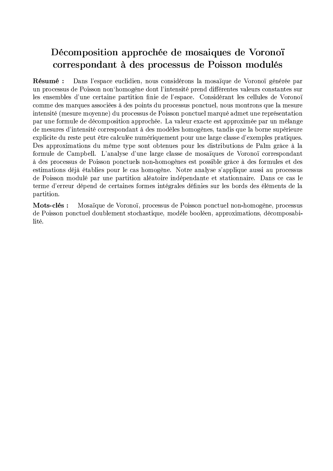## Décomposition approchée de mosaiques de Voronoï correspondant à des processus de Poisson modulés

Dans l'espace euclidien, nous considérons la mosaïque de Voronoï générée par Résumé: un processus de Poisson non homogène dont l'intensité prend différentes valeurs constantes sur les ensembles d'une certaine partition finie de l'espace. Considérant les cellules de Voronoï comme des marques associées à des points du processus ponctuel, nous montrons que la mesure intensité (mesure moyenne) du processus de Poisson ponctuel marqué admet une représentation par une formule de décomposition approchée. La valeur exacte est approximée par un mélange de mesures d'intensité correspondant à des modèles homogènes, tandis que la borne supérieure explicite du reste peut être calculée numériquement pour une large classe d'exemples pratiques. Des approximations du même type sont obtenues pour les distributions de Palm grâce à la formule de Campbell. L'analyse d'une large classe de mosaïques de Voronoï correspondant à des processus de Poisson ponctuels non-homogènes est possible grâce à des formules et des estimations déjà établies pour le cas homogène. Notre analyse s'applique aussi au processus de Poisson modulé par une partition aléatoire indépendante et stationnaire. Dans ce cas le terme d'erreur dépend de certaines formes intégrales définies sur les bords des éléments de la partition.

Mots-clés : Mosaïque de Voronoï, processus de Poisson ponctuel non-homogène, processus de Poisson ponctuel doublement stochastique, modèle booléen, approximations, décomposabilité.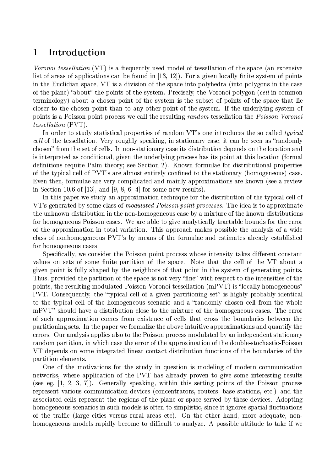#### $\mathbf{1}$ Introduction

*Voronoi tessellation* (VT) is a frequently used model of tessellation of the space (an extensive list of areas of applications can be found in [13, 12]). For a given locally finite system of points in the Euclidian space, VT is a division of the space into polyhedra (into polygons in the case of the plane) "about" the points of the system. Precisely, the Voronoi polygon (cell in common terminology) about a chosen point of the system is the subset of points of the space that lie closer to the chosen point than to any other point of the system. If the underlying system of points is a Poisson point process we call the resulting random tessellation the Poisson Voronoi *tessellation* (PVT).

In order to study statistical properties of random VT's one introduces the so called *typical* cell of the tessellation. Very roughly speaking, in stationary case, it can be seen as "randomly" chosen" from the set of cells. In non-stationary case its distribution depends on the location and is interpreted as conditional, given the underlying process has its point at this location (formal definitions require Palm theory; see Section 2). Known formulae for distributional properties of the typical cell of PVT's are almost entirely confined to the stationary (homogeneous) case. Even then, formulae are very complicated and mainly approximations are known (see a review in Section 10.6 of [13], and [9, 8, 6, 4] for some new results).

In this paper we study an approximation technique for the distribution of the typical cell of VT's generated by some class of *modulated-Poisson point processes*. The idea is to approximate the unknown distribution in the non-homogeneous case by a mixture of the known distributions for homogeneous Poisson cases. We are able to give analytically tractable bounds for the error of the approximation in total variation. This approach makes possible the analysis of a wide class of nonhomogeneous PVT's by means of the formulae and estimates already established for homogeneous cases.

Specifically, we consider the Poisson point process whose intensity takes different constant values on sets of some finite partition of the space. Note that the cell of the VT about a given point is fully shaped by the neighbors of that point in the system of generating points. Thus, provided the partition of the space is not very "fine" with respect to the intensities of the points, the resulting modulated-Poisson Voronoi tessellation (mPVT) is "locally homogeneous" PVT. Consequently, the "typical cell of a given partitioning set" is highly probably identical to the typical cell of the homogeneous scenario and a "randomly chosen cell from the whole mPVT" should have a distribution close to the mixture of the homogeneous cases. The error of such approximation comes from existence of cells that cross the boundaries between the partitioning sets. In the paper we formalize the above intuitive approximations and quantify the errors. Our analysis applies also to the Poisson process modulated by an independent stationary random partition, in which case the error of the approximation of the double-stochastic-Poisson VT depends on some integrated linear contact distribution functions of the boundaries of the partition elements.

One of the motivations for the study in question is modeling of modern communication networks, where application of the PVT has already proven to give some interesting results (see eg.  $[1, 2, 3, 7]$ ). Generally speaking, within this setting points of the Poisson process represent various communication devices (concentrators, routers, base stations, etc.) and the associated cells represent the regions of the plane or space served by these devices. Adopting homogeneous scenarios in such models is often to simplistic, since it ignores spatial fluctuations of the traffic (large cities versus rural areas etc). On the other hand, more adequate, nonhomogeneous models rapidly become to difficult to analyze. A possible attitude to take if we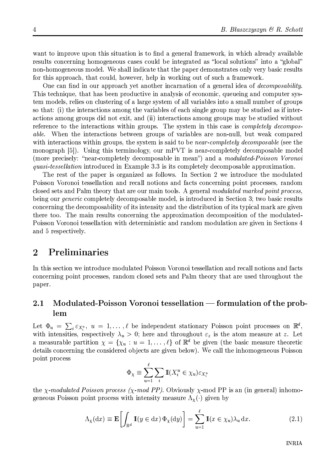want to improve upon this situation is to find a general framework, in which already available results concerning homogeneous cases could be integrated as "local solutions" into a "global" non-homogeneous model. We shall indicate that the paper demonstrates only very basic results for this approach, that could, however, help in working out of such a framework.

One can find in our approach yet another incarnation of a general idea of *decomposability*. This technique, that has been productive in analysis of economic, queueing and computer system models, relies on clustering of a large system of all variables into a small number of groups so that: (i) the interactions among the variables of each single group may be studied as if interactions among groups did not exit, and (ii) interactions among groups may be studied without reference to the interactions within groups. The system in this case is *completely decomposable.* When the interactions between groups of variables are non-null, but weak compared with interactions within groups, the system is said to be *near-completely decomposable* (see the monograph [5]). Using this terminology, our mPVT is near-completely decomposable model (more precisely: "near-completely decomposable in mean") and a modulated-Poisson Voronoi *quasi-tessellation* introduced in Example 3.3 is its completely decomposable approximation.

The rest of the paper is organized as follows. In Section 2 we introduce the modulated Poisson Voronoi tessellation and recall notions and facts concerning point processes, random closed sets and Palm theory that are our main tools. A general modulated marked point process, being our *generic* completely decomposable model, is introduced in Section 3; two basic results concerning the decomposability of its intensity and the distribution of its typical mark are given there too. The main results concerning the approximation decomposition of the modulated-Poisson Voronoi tessellation with deterministic and random modulation are given in Sections 4 and 5 respectively.

#### $\overline{2}$ Preliminaries

In this section we introduce modulated Poisson Voronoi tessellation and recall notions and facts concerning point processes, random closed sets and Palm theory that are used throughout the paper.

### Modulated-Poisson Voronoi tessellation — formulation of the prob- $\bf 2.1$ lem

Let  $\Phi_u = \sum_i \varepsilon_{X_i^u}$ ,  $u = 1, \ldots, \ell$  be independent stationary Poisson point processes on  $\mathbb{R}^d$ , with intensities, respectively  $\lambda_u > 0$ ; here and throughout  $\varepsilon_z$  is the atom measure at z. Let a measurable partition  $\chi = \{\chi_u : u = 1, \ldots, \ell\}$  of  $\mathbb{R}^d$  be given (the basic measure theoretic details concerning the considered objects are given below). We call the inhomogeneous Poisson point process

$$
\Phi_{\chi} \equiv \sum_{u=1}^{\ell} \sum_{i} \mathbb{I}(X_i^u \in \chi_u) \varepsilon_{X_i^u}
$$

the *x*-modulated Poisson process (*x*-mod PP). Obviously *x*-mod PP is an (in general) inhomogeneous Poisson point process with intensity measure  $\Lambda_{\chi}(\cdot)$  given by

$$
\Lambda_{\chi}(\mathrm{d}x) \equiv \mathbf{E}\left[\int_{\mathbb{R}^d} \mathbb{I}(y \in \mathrm{d}x) \, \Phi_{\chi}(\mathrm{d}y)\right] = \sum_{u=1}^{\ell} \mathbb{I}(x \in \chi_u) \lambda_u \, \mathrm{d}x. \tag{2.1}
$$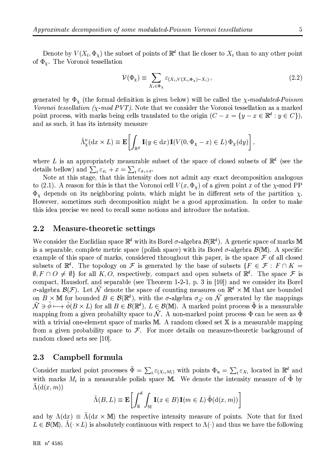Denote by  $V(X_i, \Phi_X)$  the subset of points of  $\mathbb{R}^d$  that lie closer to  $X_i$  than to any other point of  $\Phi_{\chi}$ . The Voronoi tessellation

$$
\mathcal{V}(\Phi_{\chi}) \equiv \sum_{X_i \in \Phi_{\chi}} \varepsilon_{(X_i, V(X_i, \Phi_{\chi}) - X_i)}, \tag{2.2}
$$

generated by  $\Phi_{\chi}$  (the formal definition is given below) will be called the  $\chi$ -modulated-Poisson Voronoi tessellation ( $\chi$ -mod PVT). Note that we consider the Voronoi tessellation as a marked point process, with marks being cells translated to the origin  $(C - x = \{y - x \in \mathbb{R}^d : y \in C\}),$ and as such, it has its intensity measure

$$
\tilde{\Lambda}^v_\chi(\mathrm{d}x \times L) \equiv \mathbf{E} \left[ \int_{\mathbb{R}^d} \mathbb{I}(y \in \mathrm{d}x) \mathbb{I}(V(0, \Phi_\chi - x) \in L) \Phi_\chi(\mathrm{d}y) \right],
$$

where L is an appropriately measurable subset of the space of closed subsets of  $\mathbb{R}^d$  (see the details bellow) and  $\sum_i \varepsilon_{x_i} + x = \sum_i \varepsilon_{x_i+x}$ .<br>Note at this stage, that this intensity does not admit any exact decomposition analogous

to (2.1). A reason for this is that the Voronoi cell  $V(x, \Phi_x)$  of a given point x of the  $\chi$ -mod PP  $\Phi_{\chi}$  depends on its neighboring points, which might be in different sets of the partition  $\chi$ . However, sometimes such decomposition might be a good approximation. In order to make this idea precise we need to recall some notions and introduce the notation.

#### $2.2\,$ Measure-theoretic settings

We consider the Euclidian space  $\mathbb{R}^d$  with its Borel  $\sigma$ -algebra  $\mathcal{B}(\mathbb{R}^d)$ . A generic space of marks M is a separable, complete metric space (polish space) with its Borel  $\sigma$ -algebra  $\mathcal{B}(\mathbb{M})$ . A specific example of this space of marks, considered throughout this paper, is the space  $\mathcal F$  of all closed subsets of  $\mathbb{R}^d$ . The topology on F is generated by the base of subsets  $\{F \in \mathcal{F} : F \cap K =$  $\emptyset, F \cap O \neq \emptyset$  for all K, O, respectively, compact and open subsets of  $\mathbb{R}^d$ . The space F is compact, Hausdorf, and separable (see Theorem 1-2-1, p. 3 in [10]) and we consider its Borel  $\sigma$ -algebra  $\mathcal{B}(\mathcal{F})$ . Let  $\tilde{\mathcal{N}}$  denote the space of counting measures on  $\mathbb{R}^d \times \mathbb{M}$  that are bounded on  $B \times M$  for bounded  $B \in \mathcal{B}(\mathbb{R}^d)$ , with the  $\sigma$ -algebra  $\sigma_{\tilde{\mathcal{N}}}$  on  $\tilde{\mathcal{N}}$  generated by the mappings  $\tilde{\mathcal{N}} \ni \tilde{\phi} \longmapsto \tilde{\phi}(B \times L)$  for all  $B \in \mathcal{B}(\mathbb{R}^d)$ ,  $L \in \mathcal{B}(\mathbb{M})$ . A marked point process  $\tilde{\Phi}$  is a measurable mapping from a given probabilty space to  $\tilde{\mathcal{N}}$ . A non-marked point process  $\Phi$  can be seen as  $\tilde{\Phi}$ with a trivial one-element space of marks  $M$ . A random closed set  $X$  is a measurable mapping from a given probability space to  $\mathcal F$ . For more details on measure-theoretic background of random closed sets see [10].

#### 2.3 Campbell formula

Consider marked point processes  $\tilde{\Phi} = \sum_i \varepsilon_{(X_i,M_i)}$  with points  $\Phi_u = \sum_i \varepsilon_{X_i}$  located in  $\mathbb{R}^d$  and with marks  $M_i$  in a measurable polish space M. We denote the intensity measure of  $\tilde{\Phi}$  by  $\Lambda(\mathrm{d}(x,m))$ 

$$
\tilde{\Lambda}(B, L) \equiv \mathbf{E}\left[\int_{\mathbb{R}}^{d} \int_{\mathbb{M}} \mathbf{I}(x \in B) \mathbf{I}(m \in L) \, \tilde{\Phi}(\mathrm{d}(x, m))\right]
$$

and by  $\Lambda(dx) \equiv \tilde{\Lambda}(dx \times M)$  the respective intensity measure of points. Note that for fixed  $L \in \mathcal{B}(\mathbb{M}), \Lambda(\cdot \times L)$  is absolutely continuous with respect to  $\Lambda(\cdot)$  and thus we have the following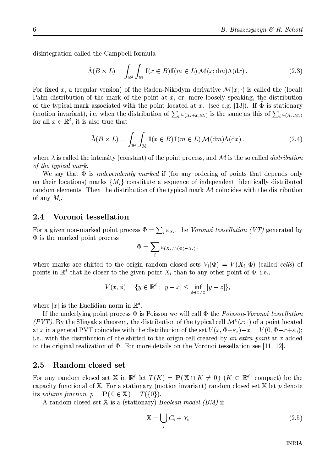disintegration called the Campbell formula

$$
\tilde{\Lambda}(B \times L) = \int_{\mathbb{R}^d} \int_{\mathbb{M}} \mathbb{I}(x \in B) \mathbb{I}(m \in L) \mathcal{M}(x; dm) \Lambda(dx).
$$
\n(2.3)

For fixed x, a (regular version) of the Radon-Nikodym derivative  $\mathcal{M}(x; \cdot)$  is called the (local) Palm distribution of the mark of the point at  $x$ , or, more loosely speaking, the distribution of the typical mark associated with the point located at x. (see e.g. [13]). If  $\Phi$  is stationary (motion invariant); i.e, when the distribution of  $\sum_i \varepsilon_{(X_i+x,M_i)}$  is the same as this of  $\sum_i \varepsilon_{(X_i,M_i)}$ for all  $x \in \mathbb{R}^d$ , it is also true that

$$
\tilde{\Lambda}(B \times L) = \int_{\mathbb{R}^d} \int_{\mathbb{M}} \mathbb{I}(x \in B) \mathbb{I}(m \in L) \mathcal{M}(\mathrm{d}m) \Lambda(\mathrm{d}x). \tag{2.4}
$$

where  $\lambda$  is called the intensity (constant) of the point process, and M is the so called *distribution* of the typical mark.

We say that  $\tilde{\Phi}$  is *independently marked* if (for any ordering of points that depends only on their locations) marks  $\{M_i\}$  constitute a sequence of independent, identically distributed random elements. Then the distribution of the typical mark  $M$  coincides with the distribution of any  $M_i$ .

#### Voronoi tessellation 2.4

For a given non-marked point process  $\Phi = \sum_i \varepsilon_{X_i}$ , the Voronoi tessellation (VT) generated by  $\Phi$  is the marked point process

$$
\tilde{\Phi} = \sum_i \varepsilon_{(X_i, V_i(\Phi) - X_i)},
$$

where marks are shifted to the origin random closed sets  $V_i(\Phi) = V(X_i, \Phi)$  (called cells) of points in  $\mathbb{R}^d$  that lie closer to the given point  $X_i$  than to any other point of  $\Phi$ ; i.e.,

$$
V(x,\phi) = \{ y \in \mathbb{R}^d : |y - x| \le \inf_{\phi \ni z \neq x} |y - z| \},\
$$

where |x| is the Euclidian norm in  $\mathbb{R}^d$ .

If the underlying point process  $\Phi$  is Poisson we will call  $\Phi$  the *Poisson-Voronoi tessellation* (PVT). By the Slinyak's theorem, the distribution of the typical cell  $\mathcal{M}^v(x; \cdot)$  of a point located at x in a general PVT coincides with the distribution of the set  $V(x, \Phi + \varepsilon_x) - x = V(0, \Phi - x + \varepsilon_0);$ i.e., with the distribution of the shifted to the origin cell created by an extra point at x added to the original realization of  $\Phi$ . For more details on the Voronoi tessellation see [11, 12].

#### 2.5 Random closed set

For any random closed set X in  $\mathbb{R}^d$  let  $T(K) = P(X \cap K \neq 0)$   $(K \subset \mathbb{R}^d$ , compact) be the capacity functional of  $X$ . For a stationary (motion invariant) random closed set  $X$  let  $p$  denote its volume fraction;  $p = P(0 \in X) = T({0}).$ 

A random closed set X is a (stationary) Boolean model (BM) if

$$
\mathbb{X} = \bigcup_{i} C_i + Y_i \tag{2.5}
$$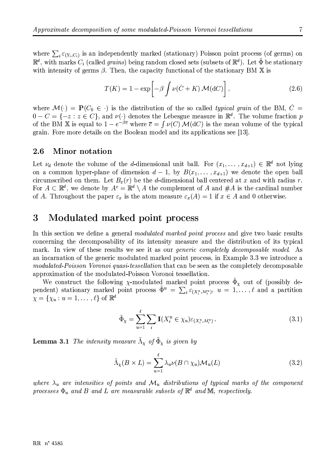where  $\sum_i \varepsilon_{(Y_i,C_i)}$  is an independently marked (stationary) Poisson point process (of germs) on  $\mathbb{R}^d$ , with marks  $C_i$  (called *grains*) being random closed sets (subsets of  $\mathbb{R}^d$ ). Let  $\tilde{\Phi}$  be stationary with intensity of germs  $\beta$ . Then, the capacity functional of the stationary BM X is

$$
T(K) = 1 - \exp\left[-\beta \int \nu(\check{C} + K) \mathcal{M}(\mathrm{d}C)\right],\tag{2.6}
$$

where  $\mathcal{M}(\cdot) = \mathbf{P}(C_0 \in \cdot)$  is the distribution of the so called *typical grain* of the BM,  $\check{C}$  $0-C=\{-z:z\in C\}$ , and  $\nu(\cdot)$  denotes the Lebesgue measure in  $\mathbb{R}^d$ . The volume fraction p of the BM X is equal to  $1-e^{-\beta \overline{c}}$  where  $\overline{c} = \int \nu(C) \mathcal{M}(dC)$  is the mean volume of the typical grain. Fore more details on the Boolean model and its applications see [13].

#### $2.6$ Minor notation

Let  $\nu_d$  denote the volume of the d-dimensional unit ball. For  $(x_1, \ldots, x_{d+1}) \in \mathbb{R}^d$  not lying on a common hyper-plane of dimension  $d-1$ , by  $B(x_1, \ldots, x_{d+1})$  we denote the open ball circumscribed on them. Let  $B_x(r)$  be the d-dimensional ball centered at x and with radius r. For  $A \subset \mathbb{R}^d$ , we denote by  $A^c = \mathbb{R}^d \setminus A$  the complement of A and  $\#A$  is the cardinal number of A. Throughout the paper  $\varepsilon_x$  is the atom measure  $\varepsilon_x(A) = 1$  if  $x \in A$  and 0 otherwise.

#### 3 Modulated marked point process

In this section we define a general *modulated marked point process* and give two basic results concerning the decomposability of its intensity measure and the distribution of its typical mark. In view of these results we see it as our *generic completely decomposable model*. As an incarnation of the generic modulated marked point process, in Example 3.3 we introduce a modulated-Poisson Voronoi quasi-tessellation that can be seen as the completely decomposable approximation of the modulated-Poisson Voronoi tessellation.

We construct the following  $\chi$ -modulated marked point process  $\tilde{\Phi}_{\chi}$  out of (possibly dependent) stationary marked point process  $\tilde{\Phi}^u = \sum_i \varepsilon_{(X^u, M^u_i)}, u = 1, \ldots, \ell$  and a partition  $\chi = {\chi_u : u = 1, \ldots, \ell}$  of  $\mathbb{R}^d$ 

$$
\tilde{\Phi}_{\chi} = \sum_{u=1}^{\ell} \sum_{i} \mathbb{I}(X_i^u \in \chi_u) \varepsilon_{(X_i^u, M_i^u)}.
$$
\n(3.1)

**Lemma 3.1** The intensity measure  $\tilde{\Lambda}_{\chi}$  of  $\tilde{\Phi}_{\chi}$  is given by

$$
\tilde{\Lambda}_{\chi}(B \times L) = \sum_{u=1}^{\ell} \lambda_u \nu(B \cap \chi_u) \mathcal{M}_u(L)
$$
\n(3.2)

where  $\lambda_u$  are intensities of points and  $\mathcal{M}_u$  distributions of typical marks of the component processes  $\Phi_u$  and B and L are measurable subsets of  $\mathbb{R}^d$  and M, respectively.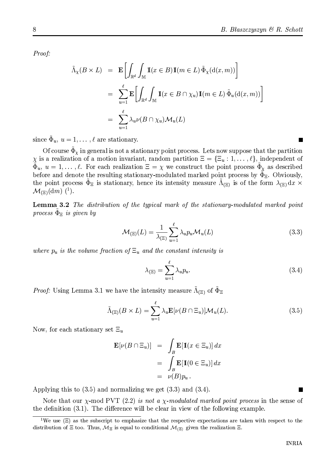Proof:

$$
\tilde{\Lambda}_{\chi}(B \times L) = \mathbf{E} \bigg[ \int_{\mathbb{R}^d} \int_{\mathbb{M}} \mathbb{I}(x \in B) \mathbb{I}(m \in L) \, \tilde{\Phi}_{\chi}(\mathrm{d}(x, m)) \bigg]
$$
\n
$$
= \sum_{u=1}^{\ell} \mathbf{E} \bigg[ \int_{\mathbb{R}^d} \int_{\mathbb{M}} \mathbb{I}(x \in B \cap \chi_u) \mathbb{I}(m \in L) \, \tilde{\Phi}_u(\mathrm{d}(x, m)) \bigg]
$$
\n
$$
= \sum_{u=1}^{\ell} \lambda_u \nu(B \cap \chi_u) \mathcal{M}_u(L)
$$

since  $\Phi_u$ ,  $u=1,\ldots,\ell$  are stationary.

Of course  $\Phi_x$  in general is not a stationary point process. Lets now suppose that the partition  $\chi$  is a realization of a motion invariant, random partition  $\Xi = {\{\Xi_u : 1, ..., \ell\}}$ , independent of  $\tilde{\Phi}_u, u = 1, \ldots, \ell$ . For each realization  $\Xi = \chi$  we construct the point process  $\tilde{\Phi}_\chi$  as described before and denote the resulting stationary-modulated marked point process by  $\tilde{\Phi}_{\Xi}$ . Obviously, the point process  $\Phi_{\Xi}$  is stationary, hence its intensity measure  $\Lambda_{(\Xi)}$  is of the form  $\lambda_{(\Xi)} dx \times$  $\mathcal{M}_{(\Xi)}(\mathrm{d} m)^{-1}$ .

**Lemma 3.2** The distribution of the typical mark of the stationary-modulated marked point process  $\Phi_{\Xi}$  is given by

$$
\mathcal{M}_{(\Xi)}(L) = \frac{1}{\lambda_{(\Xi)}} \sum_{u=1}^{\ell} \lambda_u p_u \mathcal{M}_u(L)
$$
\n(3.3)

where  $p_u$  is the volume fraction of  $\Xi_u$  and the constant intensity is

$$
\lambda_{(\Xi)} = \sum_{u=1}^{\ell} \lambda_u p_u. \tag{3.4}
$$

*Proof:* Using Lemma 3.1 we have the intensity measure  $\tilde{\Lambda}_{(\Xi)}$  of  $\tilde{\Phi}_{\Xi}$ 

$$
\tilde{\Lambda}_{(\Xi)}(B \times L) = \sum_{u=1}^{\ell} \lambda_u \mathbf{E}[\nu(B \cap \Xi_u)] \mathcal{M}_u(L). \tag{3.5}
$$

Now, for each stationary set  $\Xi_u$ 

$$
\mathbf{E}[\nu(B \cap \Xi_u)] = \int_B \mathbf{E}[\mathbb{1}(x \in \Xi_u)] dx
$$
  
= 
$$
\int_B \mathbf{E}[\mathbb{1}(0 \in \Xi_u)] dx
$$
  
= 
$$
\nu(B)p_u.
$$

Applying this to  $(3.5)$  and normalizing we get  $(3.3)$  and  $(3.4)$ .

Note that our  $\chi$ -mod PVT (2.2) is not a  $\chi$ -modulated marked point process in the sense of the definition (3.1). The difference will be clear in view of the following example.

<sup>&</sup>lt;sup>1</sup>We use  $(\Xi)$  as the subscript to emphasize that the respective expectations are taken with respect to the distribution of  $\Xi$  too. Thus,  $\mathcal{M}_{\Xi}$  is equal to conditional  $\mathcal{M}_{(\Xi)}$  given the realization  $\Xi$ .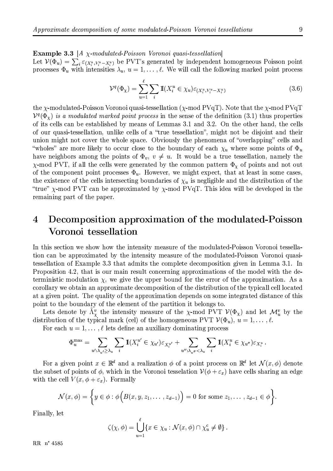Let  $\mathcal{V}(\Phi_u) = \sum_i \varepsilon_{(X_i^u, V_i^u - X_i^u)}$  be PVT's generated by independent homogeneous Poisson point processes  $\Phi_u$  with intensities  $\lambda_u$ ,  $u = 1, \ldots, \ell$ . We will call the following marked point process

$$
\mathcal{V}^q(\Phi_\chi) = \sum_{u=1}^\ell \sum_i \mathbb{I}(X_i^u \in \chi_u) \varepsilon_{(X_i^u, V_i^u - X_i^u)}
$$
(3.6)

the  $\chi$ -modulated-Poisson Voronoi quasi-tessellation ( $\chi$ -mod PVqT). Note that the  $\chi$ -mod PVqT  $V^q(\Phi_{\chi})$  is a modulated marked point process in the sense of the definition (3.1) thus properties of its cells can be established by means of Lemmas 3.1 and 3.2. On the other hand, the cells of our quasi-tessellation, unlike cells of a "true tessellation", might not be disjoint and their union might not cover the whole space. Obviously the phenomena of "overlapping" cells and "wholes" are more likely to occur close to the boundary of each  $\chi_u$  where some points of  $\Phi_u$ have neighbors among the points of  $\Phi_v$ ,  $v \neq u$ . It would be a true tessellation, namely the  $\chi$ -mod PVT, if all the cells were generated by the common pattern  $\Phi_{\chi}$  of points and not out of the component point processes  $\Phi_u$ . However, we might expect, that at least in some cases, the existence of the cells intersecting boundaries of  $\chi_u$  is negligible and the distribution of the "true"  $\chi$ -mod PVT can be approximated by  $\chi$ -mod PVqT. This idea will be developed in the remaining part of the paper.

### $\overline{4}$ Decomposition approximation of the modulated-Poisson Voronoi tessellation

In this section we show how the intensity measure of the modulated-Poisson Voronoi tessellation can be approximated by the intensity measure of the modulated-Poisson Voronoi quasitessellation of Example 3.3 that admits the complete decomposition given in Lemma 3.1. In Proposition 4.2, that is our main result concerning approximations of the model with the deterministic modulation  $\chi$ , we give the upper bound for the error of the approximation. As a corollary we obtain an approximate decomposition of the distribution of the typical cell located at a given point. The quality of the approximation depends on some integrated distance of this point to the boundary of the element of the partition it belongs to.

Lets denote by  $\tilde{\Lambda}_{\chi}^{\nu}$  the intensity measure of the  $\chi$ -mod PVT  $\mathcal{V}(\Phi_{\chi})$  and let  $\mathcal{M}_{u}^{\nu}$  by the distribution of the typical mark (cel) of the homogeneous PVT  $\mathcal{V}(\Phi_{u})$ ,  $u = 1, ..., \ell$ .

For each  $u = 1, \ldots, \ell$  lets define an auxiliary dominating process

$$
\Phi_u^{\max} = \sum_{u':\lambda_{u'} \geq \lambda_u} \sum_i \mathbb{I}(X_i^{u'} \in \chi_{u'}) \varepsilon_{X_i^{u'}} + \sum_{u'' : \lambda_{u''} < \lambda_u} \sum_i \mathbb{I}(X_i^u \in \chi_{u''}) \varepsilon_{X_i^u}.
$$

For a given point  $x \in \mathbb{R}^d$  and a realization  $\phi$  of a point process on  $\mathbb{R}^d$  let  $\mathcal{N}(x, \phi)$  denote the subset of points of  $\phi$ , which in the Voronoi tesselation  $\mathcal{V}(\phi + \varepsilon_x)$  have cells sharing an edge with the cell  $V(x, \phi + \varepsilon_x)$ . Formally

$$
\mathcal{N}(x,\phi)=\bigg\{y\in\phi:\phi\Big(B(x,y,z_1,\ldots,z_{d-1})\Big)=0\text{ for some }z_1,\ldots,z_{d-1}\in\phi\bigg\}.
$$

Finally, let

$$
\zeta(\chi,\phi) = \bigcup_{u=1}^{\ell} \{x \in \chi_u : \mathcal{N}(x,\phi) \cap \chi_u^c \neq \emptyset\}
$$

RR n° 4585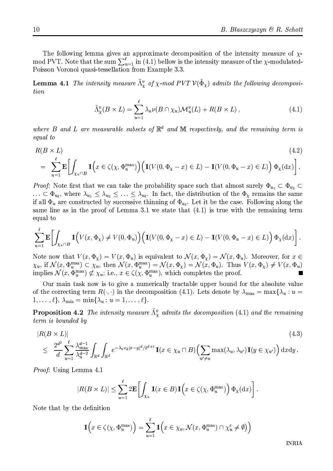The following lemma gives an approximate decomposition of the intensity measure of  $\chi$ mod PVT. Note that the sum  $\sum_{u=1}^{\ell}$  in (4.1) bellow is the intensity measure of the  $\chi$ -modulated-Poisson Voronoi quasi-tessellation from Example 3.3.

**Lemma 4.1** The intensity measure  $\tilde{\Lambda}^v$  of  $\chi$ -mod PVT  $\mathcal{V}(\tilde{\Phi}_\chi)$  admits the following decomposition

$$
\tilde{\Lambda}^v_\chi(B \times L) = \sum_{u=1}^\ell \lambda_u \nu(B \cap \chi_u) \mathcal{M}^v_u(L) + R(B \times L) , \qquad (4.1)
$$

where B and L are measurable subsets of  $\mathbb{R}^d$  and M respectively, and the remaining term is equal to

$$
R(B \times L) \tag{4.2}
$$

$$
= \sum_{u=1}^{\ell} \mathbf{E} \left[ \int_{\chi_u \cap B} \mathbb{1} \left( x \in \zeta(\chi, \Phi_u^{\max}) \right) \left( \mathbb{1}(V(0, \Phi_\chi - x) \in L) - \mathbb{1}(V(0, \Phi_u - x) \in L) \right) \Phi_\chi(\mathrm{d}x) \right].
$$

*Proof:* Note first that we can take the probability space such that almost surely  $\Phi_{u_1} \subset \Phi_{u_2} \subset$  $\ldots \subset \Phi_{u_{\ell}}$ , where  $\lambda_{u_1} \leq \lambda_{u_2} \leq \ldots \leq \lambda_{u_{\ell}}$ . In fact, the distribution of the  $\Phi_{\chi}$  remains the same if all  $\Phi_u$  are constructed by successive thinning of  $\Phi_{u_\ell}$ . Let it be the case. Following along the same line as in the proof of Lemma 3.1 we state that  $(4.1)$  is true with the remaining term equal to

$$
\sum_{u=1}^{\ell} \mathbf{E} \left[ \int_{\chi_u \cap B} \mathbb{1} \Big( V(x, \Phi_\chi) \neq V(0, \Phi_u) \Big) \Big( \mathbb{1} \big( V(0, \Phi_\chi - x) \in L \big) - \mathbb{1} \big( V(0, \Phi_u - x) \in L \big) \Big) \, \Phi_\chi(\mathrm{d}x) \right].
$$

Note now that  $V(x, \Phi_x) = V(x, \Phi_u)$  is equivalent to  $\mathcal{N}(x, \Phi_x) = \mathcal{N}(x, \Phi_u)$ . Moreover, for  $x \in$  $\chi_u$ , if  $\mathcal{N}(x, \Phi_u^{\max}) \subset \chi_u$ , then  $\mathcal{N}(x, \Phi_u^{\max}) = \mathcal{N}(x, \Phi_\chi) = \mathcal{N}(x, \Phi_u)$ . Thus  $V(x, \Phi_\chi) \neq V(x, \Phi_u)$ implies  $\mathcal{N}(x, \Phi_n^{\max}) \not\subset \chi_u$ ; i.e.,  $x \in \zeta(\chi, \Phi_n^{\max})$ , which completes the proof.

Our main task now is to give a numerically tractable upper bound for the absolute value of the correcting term  $R(\cdot, \cdot)$  in the decomposition (4.1). Lets denote by  $\lambda_{\max} = \max{\lambda_u : u =$  $1,\ldots,\ell$ ,  $\lambda_{\min} = \min\{\lambda_u : u = 1,\ldots,\ell\}.$ 

**Proposition 4.2** The intensity measure  $\tilde{\Lambda}^v$  admits the docomposition (4.1) and the remaining term is bounded by

$$
|R(B \times L)|
$$
\n
$$
\leq \frac{2^{d^2}}{d} \sum_{u=1}^{\ell} \frac{\lambda_{\max}^{d-1}}{\lambda_u^{d-2}} \int_{\mathbb{R}^d} \int_{\mathbb{R}^d} e^{-\lambda_u \nu_d |x-y|^d/2^{d+1}} \mathbb{I}(x \in \chi_u \cap B) \Big(\sum_{u' \neq u} \max(\lambda_u, \lambda_{u'}) \mathbb{I}(y \in \chi_{u'})\Big) dxdy.
$$
\n
$$
(4.3)
$$

 $u' \neq u$ 

*Proof:* Using Lemma 4.1

$$
|R(B \times L)| \leq \sum_{u=1}^{\ell} 2\mathbf{E} \left[ \int_{\chi_u} \mathbb{I}(x \in B) \mathbb{I}\left(x \in \zeta(\chi, \Phi_u^{\max})\right) \Phi_{\chi}(\mathrm{d}x) \right].
$$

Note that by the definition

$$
\mathbb{I}\Big(x\in\zeta(\chi,\Phi_u^{\max})\Big)=\sum_{u=1}^{\ell}\mathbb{I}\Big(x\in\chi_u,\mathcal{N}(x,\Phi_u^{\max})\cap\chi_u^c\neq\emptyset)\Big)
$$

**INRIA**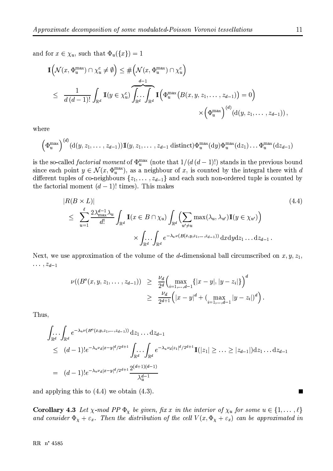and for  $x \in \chi_u$ , such that  $\Phi_u({x}) = 1$ 

$$
\mathbb{I} \left( \mathcal{N}(x, \Phi_u^{\max}) \cap \chi_u^c \neq \emptyset \right) \leq \# \left( \mathcal{N}(x, \Phi_u^{\max}) \cap \chi_u^c \right)
$$
\n
$$
\leq \frac{1}{d(d-1)!} \int_{\mathbb{R}^d} \mathbb{I}(y \in \chi_u^c) \overbrace{\int_{\mathbb{R}^d} \cdot \int_{\mathbb{R}^d}}^{\substack{d-1 \\ d-1}} \mathbb{I}\left(\Phi_u^{\max}\left(B(x, y, z_1, \dots, z_{d-1})\right) = 0\right)
$$
\n
$$
\times \left(\Phi_u^{\max}\right)^{(d)} \left(\mathrm{d}(y, z_1, \dots, z_{d-1})\right),
$$

where

$$
\left(\Phi_u^{\max}\right)^{(d)}(\mathrm{d}(y,z_1,\ldots,z_{d-1}))1\!\!1(y,z_1,\ldots,z_{d-1}\text{ distinct})\Phi_u^{\max}(\mathrm{d}y)\Phi_u^{\max}(\mathrm{d}z_1)\ldots\Phi_u^{\max}(\mathrm{d}z_{d-1})
$$

is the so-called *factorial moment* of  $\Phi_u^{\text{max}}$  (note that  $1/(d(d-1)!)$ ) stands in the previous bound since each point  $y \in \mathcal{N}(x, \Phi_u^{\max})$ , as a neighbour of x, is counted by the integral there with d different tuples of co-neighbours  $\{z_1, \ldots, z_{d-1}\}$  and each such non-ordered tuple is counted by the factorial moment  $(d-1)!$  times). This makes

$$
|R(B \times L)|
$$
\n
$$
\leq \sum_{u=1}^{\ell} \frac{2\lambda_{\max}^{d-1} \lambda_u}{d!} \int_{\mathbb{R}^d} \mathbb{1}(x \in B \cap \chi_u) \int_{\mathbb{R}^d} \left( \sum_{u' \neq u} \max(\lambda_u, \lambda_{u'}) \mathbb{1}(y \in \chi_{u'}) \right)
$$
\n
$$
\times \int_{\mathbb{R}^d} \int_{\mathbb{R}^d} e^{-\lambda_u \nu(B(x, y, z_1, \dots, z_{d-1}))} dxdydz_1 \dots dz_{d-1}.
$$
\n
$$
(4.4)
$$

Next, we use approximation of the volume of the d-dimensional ball circumscribed on  $x, y, z_1$ ,  $\ldots, z_{d-1}$ 

$$
\nu((B^o(x, y, z_1, \ldots, z_{d-1})) \geq \frac{\nu_d}{2^d} \Big( \max_{i=1,\ldots,d-1} \{|x-y|, |y-z_i|\} \Big)^d
$$
  
 
$$
\geq \frac{\nu_d}{2^{d+1}} \Big( |x-y|^d + \Big( \max_{i=1,\ldots,d-1} |y-z_i|\Big)^d \Big).
$$

Thus,

$$
\int_{\mathbb{R}^d} \int_{\mathbb{R}^d} e^{-\lambda_u \nu(B^o(x, y, z_1, \dots, z_{d-1}))} dz_1 \dots dz_{d-1}
$$
\n
$$
\leq (d-1)! e^{-\lambda_u \nu_d |x-y|^d/2^{d+1}} \int_{\mathbb{R}^d} \int_{\mathbb{R}^d} e^{-\lambda_u \nu_d |z_1|^d/2^{d+1}} \mathbb{1}(|z_1| \geq \dots \geq |z_{d-1}|) dz_1 \dots dz_{d-1}
$$
\n
$$
= (d-1)! e^{-\lambda_u \nu_d |x-y|^d/2^{d+1}} \frac{2^{(d+1)(d-1)}}{\lambda_u^{d-1}}
$$

and applying this to  $(4.4)$  we obtain  $(4.3)$ .

**Corollary 4.3** Let  $\chi$ -mod PP  $\Phi_{\chi}$  be given, fix x in the interior of  $\chi_u$  for some  $u \in \{1, ..., \ell\}$ and consider  $\Phi_{\chi} + \varepsilon_x$ . Then the distribution of the cell  $V(x, \Phi_{\chi} + \varepsilon_x)$  can be approximated in

 $\overline{\phantom{a}}$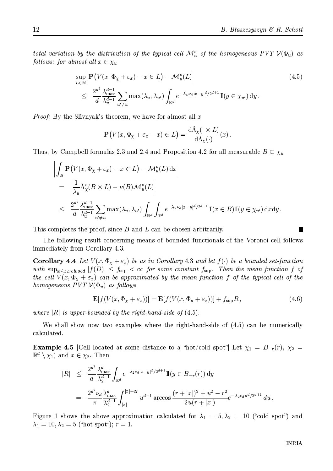total variation by the distribution of the typical cell  $\mathcal{M}_u^v$  of the homogeneous PVT  $\mathcal{V}(\Phi_u)$  as follows: for almost all  $x \in \chi_u$ 

$$
\sup_{L \in \mathbb{M}} \left| \mathbf{P} \left( V(x, \Phi_{\chi} + \varepsilon_{x}) - x \in L \right) - \mathcal{M}_{u}^{v}(L) \right|
$$
\n
$$
\leq \frac{2^{d^{2}}}{d} \frac{\lambda_{\max}^{d-1}}{\lambda_{u}^{d-1}} \sum_{u' \neq u} \max(\lambda_{u}, \lambda_{u'}) \int_{\mathbb{R}^{d}} e^{-\lambda_{u} \nu_{d} |x - y|^{d} / 2^{d+1}} \mathbf{I}(y \in \chi_{u'}) \, dy.
$$
\n(4.5)

*Proof:* By the Slivnyak's theorem, we have for almost all  $x$ 

$$
\mathbf{P}\big(V(x,\Phi_x+\varepsilon_x-x)\in L\big)=\frac{d\tilde{\Lambda}_\chi(\cdot\times L)}{d\Lambda_\chi(\cdot)}(x)
$$

Thus, by Campbell formulas 2.3 and 2.4 and Proposition 4.2 for all measurable  $B \subset \chi_u$ 

$$
\left| \int_{B} \mathbf{P} \left( V(x, \Phi_{\chi} + \varepsilon_{x}) - x \in L \right) - \mathcal{M}_{u}^{v}(L) \, dx \right|
$$
\n
$$
= \left| \frac{1}{\lambda_{u}} \tilde{\Lambda}_{\chi}^{v}(B \times L) - \nu(B) \mathcal{M}_{u}^{v}(L) \right|
$$
\n
$$
\leq \frac{2^{d^{2}}}{d} \frac{\lambda_{\max}^{d-1}}{\lambda_{u}^{d-1}} \sum_{u' \neq u} \max(\lambda_{u}, \lambda_{u'}) \int_{\mathbb{R}^{d}} \int_{\mathbb{R}^{d}} e^{-\lambda_{u} \nu_{d} |x - y|^{d} / 2^{d+1}} \mathbb{I}(x \in B) \mathbb{I}(y \in \chi_{u'}) \, dx dy.
$$

This completes the proof, since  $B$  and  $L$  can be chosen arbitrarily.

The following result concerning means of bounded functionals of the Voronoi cell follows immediately from Corollary 4.3.

**Corollary 4.4** Let  $V(x, \Phi_x + \varepsilon_x)$  be as in Corollary 4.3 and let  $f(\cdot)$  be a bounded set-function with  $\sup_{\mathbb{R}^d \supset Dclosed} |f(D)| \leq f_{\sup} < \infty$  for some constant  $f_{\sup}$ . Then the mean function f of the cell  $V(x, \Phi_x + \varepsilon_x)$  can be approximated by the mean function f of the typical cell of the homogeneous  $\overline{PVT} \mathcal{V}(\Phi_u)$  as follows

$$
\mathbf{E}[f(V(x,\Phi_X+\varepsilon_x))] = \mathbf{E}[f(V(x,\Phi_u+\varepsilon_x))] + f_{\text{sup}}R,
$$
\n(4.6)

where  $|R|$  is upper-bounded by the right-hand-side of  $(4.5)$ .

We shall show now two examples where the right-hand-side of  $(4.5)$  can be numerically calculated.

**Example 4.5** [Cell located at some distance to a "hot/cold spot"] Let  $\chi_1 = B_{-r}(r)$ ,  $\chi_2 =$  $\mathbb{R}^d \setminus \chi_1$  and  $x \in \chi_2$ . Then

$$
|R| \leq \frac{2^{d^2}}{d} \frac{\lambda_{\max}^d}{\lambda_2^{d-1}} \int_{\mathbb{R}^d} e^{-\lambda_2 \nu_d |x-y|^d/2^{d+1}} \mathbb{I}(y \in B_{-r}(r)) dy
$$
  
= 
$$
\frac{2^{d^2} \nu_d}{\pi} \frac{\lambda_{\max}^d}{\lambda_2^{d-1}} \int_{|x|}^{|x|+2r} u^{d-1} \arccos \frac{(r+|x|)^2 + u^2 - r^2}{2u(r+|x|)} e^{-\lambda_2 \nu_d u^d/2^{d+1}} du.
$$

Figure 1 shows the above approximation calculated for  $\lambda_1 = 5, \lambda_2 = 10$  ("cold spot") and  $\lambda_1 = 10, \lambda_2 = 5$  ("hot spot");  $r = 1$ .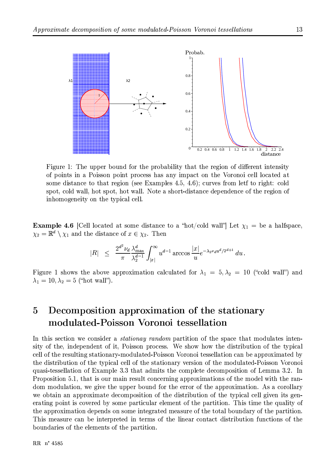

Figure 1: The upper bound for the probability that the region of different intensity of points in a Poisson point process has any impact on the Voronoi cell located at some distance to that region (see Examples 4.5, 4.6); curves from lett to right: cold spot, cold wall, hot spot, hot wall. Note a short-distance dependence of the region of inhomogeneity on the typical cell.

**Example 4.6** [Cell located at some distance to a "hot/cold wall"] Let  $\chi_1 =$  be a halfspace,  $\chi_2 = \mathbb{R}^d \setminus \chi_1$  and the distance of  $x \in \chi_2$ . Then

$$
|R| \ \leq \ \frac{2^{d^2}\nu_d}{\pi} \frac{\lambda_{\max}^d}{\lambda_2^{d-1}} \int_{|x|}^\infty u^{d-1} \arccos \frac{|x|}{u} e^{-\lambda_2 \nu_d u^d/2^{d+1}} \, du \, .
$$

Figure 1 shows the above approximation calculated for  $\lambda_1 = 5, \lambda_2 = 10$  ("cold wall") and  $\lambda_1 = 10, \lambda_2 = 5$  ("hot wall").

### Decomposition approximation of the stationary  $\overline{5}$ modulated-Poisson Voronoi tessellation

In this section we consider a *stationay random* partition of the space that modulates intensity of the, independent of it, Poisson process. We show how the distribution of the typical cell of the resulting stationary-modulated-Poisson Voronoi tessellation can be approximated by the distribution of the typical cell of the stationary version of the modulated-Poisson Voronoi quasi-tessellation of Example 3.3 that admits the complete decomposition of Lemma 3.2. In Proposition 5.1, that is our main result concerning approximations of the model with the random modulation, we give the upper bound for the error of the approximation. As a corollary we obtain an approximate decomposition of the distribution of the typical cell given its generating point is covered by some particular element of the partition. This time the quality of the approximation depends on some integrated measure of the total boundary of the partition. This measure can be interpreted in terms of the linear contact distribution functions of the boundaries of the elements of the partition.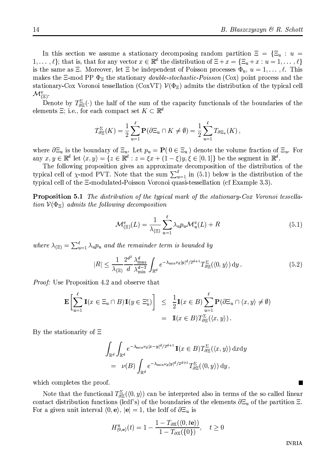In this section we assume a stationary decomposing random partition  $\Xi = {\Xi_u : u =$  $1,\ldots,\ell$ ; that is, that for any vector  $x\in\mathbb{R}^d$  the distribution of  $\Xi+x=\{\Xi_u+x:u=1,\ldots,\ell\}$ is the same as  $\Xi$ . Moreover, let  $\Xi$  be independent of Poisson processes  $\Phi_u$ ,  $u=1,\ldots,\ell$ . This makes the  $\Xi$ -mod PP  $\Phi_{\Xi}$  the stationary *double-stochastic-Poisson* (Cox) point process and the stationary-Cox Voronoi tessellation (CoxVT)  $\mathcal{V}(\Phi_{\Xi})$  admits the distribution of the typical cell  $\mathcal{M}_{(\Xi)}^v$ .

Denote by  $T_{\partial \Xi}^{\Sigma}(\cdot)$  the half of the sum of the capacity functionals of the boundaries of the elements  $\Xi$ ; i.e., for each compact set  $K \subset \mathbb{R}^d$ 

$$
T_{\partial \Xi}^{\Sigma}(K) = \frac{1}{2} \sum_{u=1}^{\ell} \mathbf{P}(\partial \Xi_u \cap K \neq \emptyset) = \frac{1}{2} \sum_{u=1}^{\ell} T_{\partial \Xi_u}(K),
$$

where  $\partial \Xi_u$  is the boundary of  $\Xi_u$ . Let  $p_u = \mathbf{P}(\mathbf{0} \in \Xi_u)$  denote the volume fraction of  $\Xi_u$ . For any  $x, y \in \mathbb{R}^d$  let  $\langle x, y \rangle = \{ z \in \mathbb{R}^d : z = \xi x + (1 - \xi)y, \xi \in [0, 1] \}$  be the segment in  $\mathbb{R}^d$ .

The following proposition gives an approximate decomposition of the distribution of the typical cell of  $\chi$ -mod PVT. Note that the sum  $\sum_{u=1}^{\ell}$  in (5.1) below is the distribution of the typical cell of the E-modulated-Poisson Voronoi quasi-tessellation (cf Example 3.3).

**Proposition 5.1** The distribution of the typical mark of the stationary-Cox Voronoi tessellation  $V(\Phi_{\Xi})$  admits the following decomposition

$$
\mathcal{M}_{(\Xi)}^v(L) = \frac{1}{\lambda_{(\Xi)}} \sum_{u=1}^{\ell} \lambda_u p_u \mathcal{M}_u^v(L) + R \tag{5.1}
$$

where  $\lambda_{(\Xi)} = \sum_{u=1}^{\ell} \lambda_u p_u$  and the remainder term is bounded by

$$
|R| \le \frac{1}{\lambda_{(\Xi)}} \frac{2^{d^2}}{d} \frac{\lambda_{\max}^d}{\lambda_{\min}^{d-2}} \int_{\mathbb{R}^d} e^{-\lambda_{\min}\nu_d |y|^d/2^{d+1}} T_{\partial\Xi}^{\Sigma}(\langle 0, y \rangle) dy. \tag{5.2}
$$

*Proof:* Use Proposition 4.2 and observe that

$$
\mathbf{E}\left[\sum_{u=1}^{\ell} \mathbb{I}(x \in \Xi_u \cap B) \mathbb{I}(y \in \Xi_u^c) \right] \leq \frac{1}{2} \mathbb{I}(x \in B) \sum_{u=1}^{\ell} \mathbf{P}(\partial \Xi_u \cap \langle x, y \rangle \neq \emptyset) \n= \mathbb{I}(x \in B) T_{\partial \Xi}^{\Sigma}(\langle x, y \rangle).
$$

By the stationarity of  $\Xi$ 

$$
\int_{\mathbb{R}^d} \int_{\mathbb{R}^d} e^{-\lambda_{\min}\nu_d |x-y|^d/2^{d+1}} \mathbb{I}(x \in B) T_{\partial \Xi}^{\Sigma}(\langle x, y \rangle) dxdy
$$
\n
$$
= \nu(B) \int_{\mathbb{R}^d} e^{-\lambda_{\min}\nu_d |y|^d/2^{d+1}} T_{\partial \Xi}^{\Sigma}(\langle 0, y \rangle) d y,
$$

which completes the proof.

Note that the functional  $T_{\partial \Xi}^{\Sigma}(\langle 0, y \rangle)$  can be interpreted also in terms of the so called linear contact distribution functions (lcdf's) of the boundaries of the elements  $\partial \Xi_u$  of the partition  $\Xi$ . For a given unit interval  $(0, e)$ ,  $|e| = 1$ , the lcdf of  $\partial \Xi_u$  is

$$
H_{(0,\mathbf{e})}^u(t) = 1 - \frac{1 - T_{\partial \mathbb{X}}(\langle 0, t\mathbf{e} \rangle)}{1 - T_{\partial \mathbb{X}}(\{0\})}, \quad t \ge 0
$$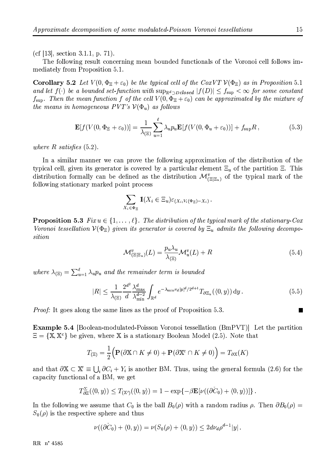(cf [13], section 3.1.1, p. 71).

The following result concerning mean bounded functionals of the Voronoi cell follows immediately from Proposition 5.1.

**Corollary 5.2** Let  $V(0, \Phi_{\Xi} + \varepsilon_0)$  be the typical cell of the CoxVT  $V(\Phi_{\Xi})$  as in Proposition 5.1 and let  $f(\cdot)$  be a bounded set-function with  $\sup_{\mathbb{R}^d \supset D \text{ closed}} |f(D)| \leq f_{\sup} < \infty$  for some constant  $f_{\text{sup}}$ . Then the mean function f of the cell  $V(0, \Phi_{\Xi} + \varepsilon_0)$  can be approximated by the mixture of the means in homogeneous  $PVT's \mathcal{V}(\Phi_u)$  as follows

$$
\mathbf{E}[f(V(0,\Phi_{\Xi}+\varepsilon_0))] = \frac{1}{\lambda_{(\Xi)}} \sum_{u=1}^{\ell} \lambda_u p_u \mathbf{E}[f(V(0,\Phi_u+\varepsilon_0))] + f_{\text{sup}} R,
$$
\n(5.3)

where  $R$  satisfies  $(5.2)$ .

In a similar manner we can prove the following approximation of the distribution of the typical cell, given its generator is covered by a particular element  $\Xi_n$  of the partition  $\Xi$ . This distribution formally can be defined as the distribution  $\mathcal{M}_{(\Xi|\Xi_n)}^v$  of the typical mark of the following stationary marked point process

$$
\sum_{X_i \in \Phi_{\Xi}} \mathbb{I}(X_i \in \Xi_u) \varepsilon_{(X_i, V_i(\Phi_{\Xi}) - X_i)}
$$

**Proposition 5.3** Fix  $u \in \{1, ..., \ell\}$ . The distribution of the typical mark of the stationary-Cox Voronoi tessellation  $V(\Phi_{\Xi})$  given its generator is covered by  $\Xi_u$  admits the following decomposition

$$
\mathcal{M}_{(\Xi|\Xi_u)}^v(L) = \frac{p_u \lambda_u}{\lambda_{(\Xi)}} \mathcal{M}_u^v(L) + R
$$
\n(5.4)

where  $\lambda_{(\Xi)} = \sum_{u=1}^{\ell} \lambda_u p_u$  and the remainder term is bounded

$$
|R| \le \frac{1}{\lambda_{(\Xi)}} \frac{2^{d^2}}{d} \frac{\lambda_{\max}^d}{\lambda_{\min}^{d-2}} \int_{\mathbb{R}^d} e^{-\lambda_{\min} \nu_d |y|^d/2^{d+1}} T_{\partial \Xi_u}(\langle 0, y \rangle) dy. \tag{5.5}
$$

*Proof:* It goes along the same lines as the proof of Proposition 5.3.

**Example 5.4** [Boolean-modulated-Poisson Voronoi tessellation (BmPVT)] Let the partition  $\Xi = \{X, X^c\}$  be given, where X is a stationary Boolean Model (2.5). Note that

$$
T_{(\Xi)} = \frac{1}{2} \Big( \mathbf{P}(\partial \mathbb{X} \cap K \neq 0) + \mathbf{P}(\partial \mathbb{X}^c \cap K \neq 0) \Big) = T_{\partial \mathbb{X}}(K)
$$

and that  $\partial X \subset X' \equiv \bigcup_i \partial C_i + Y_i$  is another BM. Thus, using the general formula (2.6) for the capacity functional of a BM, we get

$$
T_{\partial \Xi}^{\Sigma}(\langle 0, y \rangle) \leq T_{(\mathbb{X}')}(\langle 0, y \rangle) = 1 - \exp\{-\beta \mathbf{E}[\nu((\partial \check{C}_0) + \langle 0, y \rangle)]\}
$$

In the following we assume that  $C_0$  is the ball  $B_0(\rho)$  with a random radius  $\rho$ . Then  $\partial B_0(\rho)$  =  $S_0(\rho)$  is the respective sphere and thus

$$
\nu((\partial C_0) + \langle 0, y \rangle) = \nu(S_0(\rho) + \langle 0, y \rangle) \leq 2d\nu_d\rho^{d-1}|y|.
$$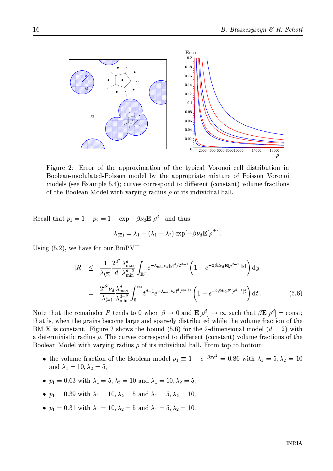

Figure 2: Error of the approximation of the typical Voronoi cell distribution in Boolean-modulated-Poisson model by the appropriate mixture of Poisson Voronoi models (see Example 5.4); curves correspond to different (constant) volume fractions of the Boolean Model with varying radius  $\rho$  of its individual ball.

Recall that  $p_1 = 1 - p_2 = 1 - \exp[-\beta \nu_d \mathbf{E}[\rho^d]]$  and thus

$$
\lambda_{(\Xi)} = \lambda_1 - (\lambda_1 - \lambda_2) \exp[-\beta \nu_d \mathbf{E}[\rho^d]]\,.
$$

Using  $(5.2)$ , we have for our BmPVT

$$
|R| \leq \frac{1}{\lambda_{(\Xi)}} \frac{2^{d^2}}{d} \frac{\lambda_{\max}^d}{\lambda_{\min}^{d-2}} \int_{\mathbb{R}^d} e^{-\lambda_{\min} \nu_d |y|^d/2^{d+1}} \left(1 - e^{-2\beta d \nu_d \mathbf{E}[\rho^{d-1}]|y|}\right) dy
$$
  

$$
= \frac{2^{d^2} \nu_d}{\lambda_{(\Xi)}} \frac{\lambda_{\max}^d}{\lambda_{\min}^{d-2}} \int_0^\infty t^{d-1} e^{-\lambda_{\min} \nu_d t^d/2^{d+1}} \left(1 - e^{-2\beta d \nu_d \mathbf{E}[\rho^{d-1}]t}\right) dt.
$$
 (5.6)

Note that the remainder R tends to 0 when  $\beta \to 0$  and  $\mathbf{E}[\rho^d] \to \infty$  such that  $\beta \mathbf{E}[\rho^d] = \text{const}$ ; that is, when the grains become large and sparsely distributed while the volume fraction of the BM X is constant. Figure 2 shows the bound (5.6) for the 2-dimensional model  $(d = 2)$  with a deterministic radius  $\rho$ . The curves correspond to different (constant) volume fractions of the Boolean Model with varying radius  $\rho$  of its individual ball. From top to bottom:

- the volume fraction of the Boolean model  $p_1 \equiv 1 e^{-\beta \pi \rho^2} = 0.86$  with  $\lambda_1 = 5, \lambda_2 = 10$ and  $\lambda_1 = 10, \lambda_2 = 5$
- $p_1 = 0.63$  with  $\lambda_1 = 5, \lambda_2 = 10$  and  $\lambda_1 = 10, \lambda_2 = 5$ ,
- $p_1 = 0.39$  with  $\lambda_1 = 10, \lambda_2 = 5$  and  $\lambda_1 = 5, \lambda_2 = 10$ ,
- $p_1 = 0.31$  with  $\lambda_1 = 10, \lambda_2 = 5$  and  $\lambda_1 = 5, \lambda_2 = 10$ .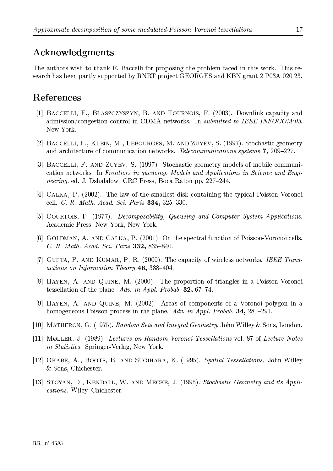### Acknowledgments

The authors wish to thank F. Baccelli for proposing the problem faced in this work. This research has been partly supported by RNRT project GEORGES and KBN grant 2 P03A 020 23.

## References

- [1] BACCELLI, F., BŁASZCZYSZYN, B. AND TOURNOIS, F. (2003). Downlink capacity and admission/congestion control in CDMA networks. In *submitted to IEEE INFOCOM'03*. New-York.
- [2] BACCELLI, F., KLEIN, M., LEBOURGES, M. AND ZUYEV, S. (1997). Stochastic geometry and architecture of communication networks. Telecommunications systems 7, 209-227.
- [3] BACCELLI, F. AND ZUYEV, S. (1997). Stochastic geometry models of mobile communication networks. In Frontiers in queueing. Models and Applications in Science and Engineering. ed. J. Dshalalow. CRC Press, Boca Raton pp. 227-244.
- [4] CALKA, P. (2002). The law of the smallest disk containing the typical Poisson-Voronoi cell. C. R. Math. Acad. Sci. Paris 334, 325-330.
- [5] COURTOIS, P. (1977). Decomposability, Queueing and Computer System Applications. Academic Press, New York, New York.
- [6] GOLDMAN, A. AND CALKA, P. (2001). On the spectral function of Poisson-Voronoi cells. C. R. Math. Acad. Sci. Paris 332, 835-840.
- [7] GUPTA, P. AND KUMAR, P. R. (2000). The capacity of wireless networks. IEEE Transactions on Information Theory 46, 388-404.
- [8] HAYEN, A. AND QUINE, M. (2000). The proportion of triangles in a Poisson-Voronoi tessellation of the plane. Adv. in Appl. Probab. 32, 67-74.
- [9] HAYEN, A. AND QUINE, M. (2002). Areas of components of a Voronoi polygon in a homogeneous Poisson process in the plane. Adv. in Appl. Probab. 34, 281–291.
- [10] MATHERON, G. (1975). Random Sets and Integral Geometry. John Willey & Sons, London.
- [11] MØLLER, J. (1989). Lectures on Random Voronoi Tessellations vol. 87 of Lecture Notes *in Statistics.* Springer-Verlag, New York.
- [12] OKABE, A., BOOTS, B. AND SUGIHARA, K. (1995). Spatial Tessellations. John Willey & Sons, Chichester.
- [13] STOYAN, D., KENDALL, W. AND MECKE, J. (1995). Stochastic Geometry and its Applications. Wiley, Chichester.